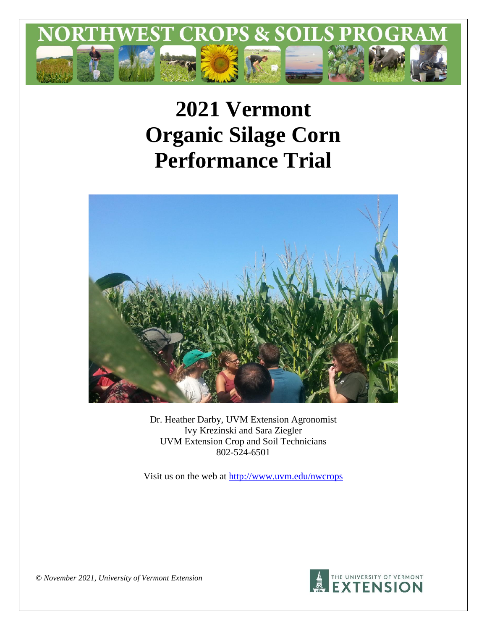

# **2021 Vermont Organic Silage Corn Performance Trial**



Dr. Heather Darby, UVM Extension Agronomist Ivy Krezinski and Sara Ziegler UVM Extension Crop and Soil Technicians 802-524-6501

Visit us on the web at<http://www.uvm.edu/nwcrops>



*© November 2021, University of Vermont Extension*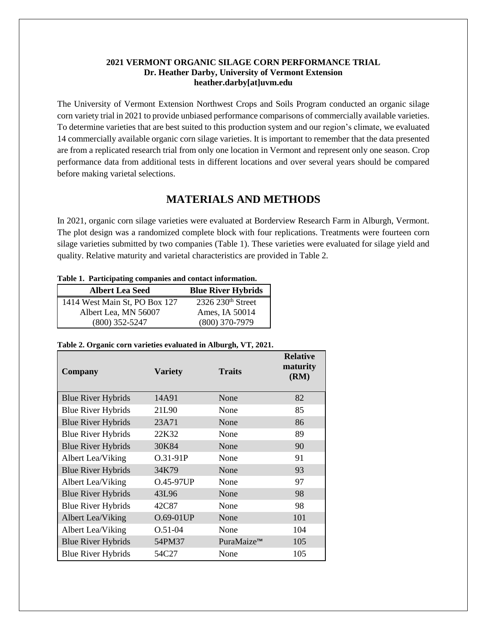#### **2021 VERMONT ORGANIC SILAGE CORN PERFORMANCE TRIAL Dr. Heather Darby, University of Vermont Extension heather.darby[at]uvm.edu**

The University of Vermont Extension Northwest Crops and Soils Program conducted an organic silage corn variety trial in 2021 to provide unbiased performance comparisons of commercially available varieties. To determine varieties that are best suited to this production system and our region's climate, we evaluated 14 commercially available organic corn silage varieties. It is important to remember that the data presented are from a replicated research trial from only one location in Vermont and represent only one season. Crop performance data from additional tests in different locations and over several years should be compared before making varietal selections.

## **MATERIALS AND METHODS**

In 2021, organic corn silage varieties were evaluated at Borderview Research Farm in Alburgh, Vermont. The plot design was a randomized complete block with four replications. Treatments were fourteen corn silage varieties submitted by two companies (Table 1). These varieties were evaluated for silage yield and quality. Relative maturity and varietal characteristics are provided in Table 2.

|  |  |  | Table 1. Participating companies and contact information. |
|--|--|--|-----------------------------------------------------------|
|--|--|--|-----------------------------------------------------------|

| <b>Albert Lea Seed</b>        | <b>Blue River Hybrids</b>     |
|-------------------------------|-------------------------------|
| 1414 West Main St, PO Box 127 | 2326 230 <sup>th</sup> Street |
| Albert Lea, MN 56007          | Ames, IA 50014                |
| $(800)$ 352-5247              | $(800)$ 370-7979              |

| Table 2. Organic corn varieties evaluated in Alburgh, VT, 2021. |  |  |  |  |
|-----------------------------------------------------------------|--|--|--|--|
|                                                                 |  |  |  |  |

| <b>Company</b>            | <b>Variety</b> | <b>Traits</b> | <b>Relative</b><br>maturity<br>(RM) |
|---------------------------|----------------|---------------|-------------------------------------|
| <b>Blue River Hybrids</b> | 14A91          | None          | 82                                  |
| <b>Blue River Hybrids</b> | 21L90          | None          | 85                                  |
| <b>Blue River Hybrids</b> | 23A71          | None          | 86                                  |
| <b>Blue River Hybrids</b> | 22K32          | None          | 89                                  |
| <b>Blue River Hybrids</b> | 30K84          | None          | 90                                  |
| Albert Lea/Viking         | O.31-91P       | None          | 91                                  |
| <b>Blue River Hybrids</b> | 34K79          | None          | 93                                  |
| Albert Lea/Viking         | O.45-97UP      | None          | 97                                  |
| <b>Blue River Hybrids</b> | 43L96          | None          | 98                                  |
| <b>Blue River Hybrids</b> | 42C87          | None          | 98                                  |
| Albert Lea/Viking         | O.69-01UP      | None          | 101                                 |
| Albert Lea/Viking         | $O.51 - 04$    | None          | 104                                 |
| <b>Blue River Hybrids</b> | 54PM37         | PuraMaize™    | 105                                 |
| <b>Blue River Hybrids</b> | 54C27          | None          | 105                                 |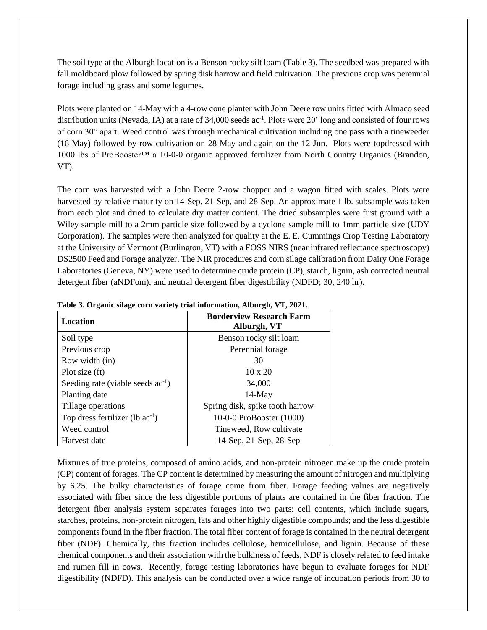The soil type at the Alburgh location is a Benson rocky silt loam (Table 3). The seedbed was prepared with fall moldboard plow followed by spring disk harrow and field cultivation. The previous crop was perennial forage including grass and some legumes.

Plots were planted on 14-May with a 4-row cone planter with John Deere row units fitted with Almaco seed distribution units (Nevada, IA) at a rate of  $34,000$  seeds ac<sup>-1</sup>. Plots were 20' long and consisted of four rows of corn 30" apart. Weed control was through mechanical cultivation including one pass with a tineweeder (16-May) followed by row-cultivation on 28-May and again on the 12-Jun. Plots were topdressed with 1000 lbs of ProBooster™ a 10-0-0 organic approved fertilizer from North Country Organics (Brandon, VT).

The corn was harvested with a John Deere 2-row chopper and a wagon fitted with scales. Plots were harvested by relative maturity on 14-Sep, 21-Sep, and 28-Sep. An approximate 1 lb. subsample was taken from each plot and dried to calculate dry matter content. The dried subsamples were first ground with a Wiley sample mill to a 2mm particle size followed by a cyclone sample mill to 1mm particle size (UDY Corporation). The samples were then analyzed for quality at the E. E. Cummings Crop Testing Laboratory at the University of Vermont (Burlington, VT) with a FOSS NIRS (near infrared reflectance spectroscopy) DS2500 Feed and Forage analyzer. The NIR procedures and corn silage calibration from Dairy One Forage Laboratories (Geneva, NY) were used to determine crude protein (CP), starch, lignin, ash corrected neutral detergent fiber (aNDFom), and neutral detergent fiber digestibility (NDFD; 30, 240 hr).

| Location                               | <b>Borderview Research Farm</b><br>Alburgh, VT |
|----------------------------------------|------------------------------------------------|
| Soil type                              | Benson rocky silt loam                         |
| Previous crop                          | Perennial forage                               |
| Row width (in)                         | 30                                             |
| Plot size (ft)                         | $10 \times 20$                                 |
| Seeding rate (viable seeds $ac^{-1}$ ) | 34,000                                         |
| Planting date                          | $14$ -May                                      |
| Tillage operations                     | Spring disk, spike tooth harrow                |
| Top dress fertilizer (lb $ac^{-1}$ )   | 10-0-0 ProBooster (1000)                       |
| Weed control                           | Tineweed, Row cultivate                        |
| Harvest date                           | 14-Sep, 21-Sep, 28-Sep                         |

**Table 3. Organic silage corn variety trial information, Alburgh, VT, 2021.**

Mixtures of true proteins, composed of amino acids, and non-protein nitrogen make up the crude protein (CP) content of forages. The CP content is determined by measuring the amount of nitrogen and multiplying by 6.25. The bulky characteristics of forage come from fiber. Forage feeding values are negatively associated with fiber since the less digestible portions of plants are contained in the fiber fraction. The detergent fiber analysis system separates forages into two parts: cell contents, which include sugars, starches, proteins, non-protein nitrogen, fats and other highly digestible compounds; and the less digestible components found in the fiber fraction. The total fiber content of forage is contained in the neutral detergent fiber (NDF). Chemically, this fraction includes cellulose, hemicellulose, and lignin. Because of these chemical components and their association with the bulkiness of feeds, NDF is closely related to feed intake and rumen fill in cows. Recently, forage testing laboratories have begun to evaluate forages for NDF digestibility (NDFD). This analysis can be conducted over a wide range of incubation periods from 30 to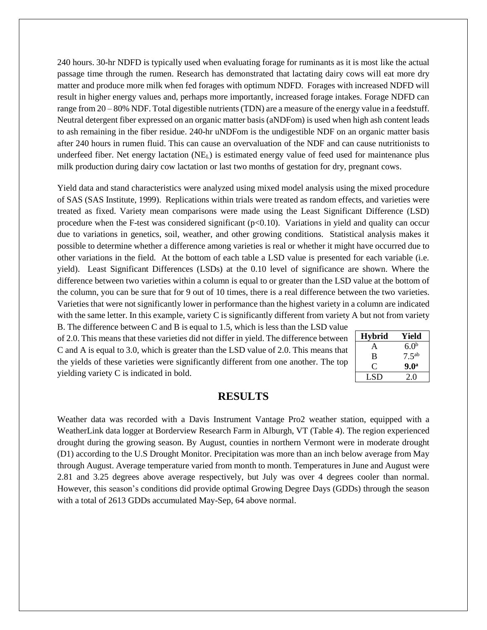240 hours. 30-hr NDFD is typically used when evaluating forage for ruminants as it is most like the actual passage time through the rumen. Research has demonstrated that lactating dairy cows will eat more dry matter and produce more milk when fed forages with optimum NDFD. Forages with increased NDFD will result in higher energy values and, perhaps more importantly, increased forage intakes. Forage NDFD can range from 20 – 80% NDF. Total digestible nutrients (TDN) are a measure of the energy value in a feedstuff. Neutral detergent fiber expressed on an organic matter basis (aNDFom) is used when high ash content leads to ash remaining in the fiber residue. 240-hr uNDFom is the undigestible NDF on an organic matter basis after 240 hours in rumen fluid. This can cause an overvaluation of the NDF and can cause nutritionists to underfeed fiber. Net energy lactation (NEL) is estimated energy value of feed used for maintenance plus milk production during dairy cow lactation or last two months of gestation for dry, pregnant cows.

Yield data and stand characteristics were analyzed using mixed model analysis using the mixed procedure of SAS (SAS Institute, 1999). Replications within trials were treated as random effects, and varieties were treated as fixed. Variety mean comparisons were made using the Least Significant Difference (LSD) procedure when the F-test was considered significant  $(p<0.10)$ . Variations in yield and quality can occur due to variations in genetics, soil, weather, and other growing conditions. Statistical analysis makes it possible to determine whether a difference among varieties is real or whether it might have occurred due to other variations in the field. At the bottom of each table a LSD value is presented for each variable (i.e. yield). Least Significant Differences (LSDs) at the 0.10 level of significance are shown. Where the difference between two varieties within a column is equal to or greater than the LSD value at the bottom of the column, you can be sure that for 9 out of 10 times, there is a real difference between the two varieties. Varieties that were not significantly lower in performance than the highest variety in a column are indicated with the same letter. In this example, variety C is significantly different from variety A but not from variety

B. The difference between C and B is equal to 1.5, which is less than the LSD value of 2.0. This means that these varieties did not differ in yield. The difference between C and A is equal to 3.0, which is greater than the LSD value of 2.0. This means that the yields of these varieties were significantly different from one another. The top yielding variety C is indicated in bold.

| <b>Hybrid</b> | Yield            |
|---------------|------------------|
| A             | 6.0 <sup>b</sup> |
| в             | $7.5^{ab}$       |
| 0             | 9.0 <sup>a</sup> |
| LSD           | 2.0              |

## **RESULTS**

Weather data was recorded with a Davis Instrument Vantage Pro2 weather station, equipped with a WeatherLink data logger at Borderview Research Farm in Alburgh, VT (Table 4). The region experienced drought during the growing season. By August, counties in northern Vermont were in moderate drought (D1) according to the U.S Drought Monitor. Precipitation was more than an inch below average from May through August. Average temperature varied from month to month. Temperatures in June and August were 2.81 and 3.25 degrees above average respectively, but July was over 4 degrees cooler than normal. However, this season's conditions did provide optimal Growing Degree Days (GDDs) through the season with a total of 2613 GDDs accumulated May-Sep, 64 above normal.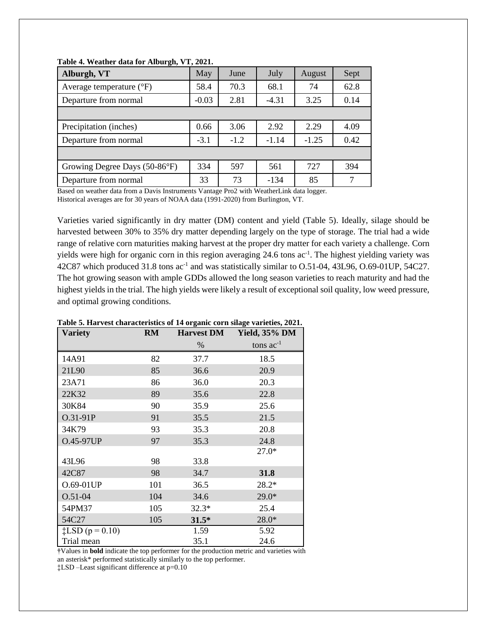| Alburgh, VT                       | May     | June   | July    | August  | Sept |
|-----------------------------------|---------|--------|---------|---------|------|
| Average temperature $(^{\circ}F)$ | 58.4    | 70.3   | 68.1    | 74      | 62.8 |
| Departure from normal             | $-0.03$ | 2.81   | $-4.31$ | 3.25    | 0.14 |
|                                   |         |        |         |         |      |
| Precipitation (inches)            | 0.66    | 3.06   | 2.92    | 2.29    | 4.09 |
| Departure from normal             | $-3.1$  | $-1.2$ | $-1.14$ | $-1.25$ | 0.42 |
|                                   |         |        |         |         |      |
| Growing Degree Days (50-86°F)     | 334     | 597    | 561     | 727     | 394  |
| Departure from normal             | 33      | 73     | $-134$  | 85      | 7    |
|                                   |         |        |         |         |      |

**Table 4. Weather data for Alburgh, VT, 2021.**

Based on weather data from a Davis Instruments Vantage Pro2 with WeatherLink data logger. Historical averages are for 30 years of NOAA data (1991-2020) from Burlington, VT.

Varieties varied significantly in dry matter (DM) content and yield (Table 5). Ideally, silage should be harvested between 30% to 35% dry matter depending largely on the type of storage. The trial had a wide range of relative corn maturities making harvest at the proper dry matter for each variety a challenge. Corn yields were high for organic corn in this region averaging 24.6 tons ac<sup>-1</sup>. The highest yielding variety was 42C87 which produced 31.8 tons ac<sup>-1</sup> and was statistically similar to O.51-04, 43L96, O.69-01UP, 54C27. The hot growing season with ample GDDs allowed the long season varieties to reach maturity and had the highest yields in the trial. The high yields were likely a result of exceptional soil quality, low weed pressure, and optimal growing conditions.

| Variety                   | <b>RM</b> |         | Harvest DM Yield, 35% DM |
|---------------------------|-----------|---------|--------------------------|
|                           |           | %       | tons $ac^{-1}$           |
| 14A91                     | 82        | 37.7    | 18.5                     |
| 21L90                     | 85        | 36.6    | 20.9                     |
| 23A71                     | 86        | 36.0    | 20.3                     |
| 22K32                     | 89        | 35.6    | 22.8                     |
| 30K84                     | 90        | 35.9    | 25.6                     |
| O.31-91P                  | 91        | 35.5    | 21.5                     |
| 34K79                     | 93        | 35.3    | 20.8                     |
| O.45-97UP                 | 97        | 35.3    | 24.8                     |
|                           |           |         | $27.0*$                  |
| 43L96                     | 98        | 33.8    |                          |
| 42C87                     | 98        | 34.7    | 31.8                     |
| O.69-01UP                 | 101       | 36.5    | 28.2*                    |
| $O.51 - 04$               | 104       | 34.6    | $29.0*$                  |
| 54PM37                    | 105       | $32.3*$ | 25.4                     |
| 54C27                     | 105       | $31.5*$ | 28.0*                    |
| $\ddagger$ LSD (p = 0.10) |           | 1.59    | 5.92                     |
| Trial mean                |           | 35.1    | 24.6                     |

**Table 5. Harvest characteristics of 14 organic corn silage varieties, 2021.**

**†**Values in **bold** indicate the top performer for the production metric and varieties with an asterisk\* performed statistically similarly to the top performer. ‡LSD –Least significant difference at p=0.10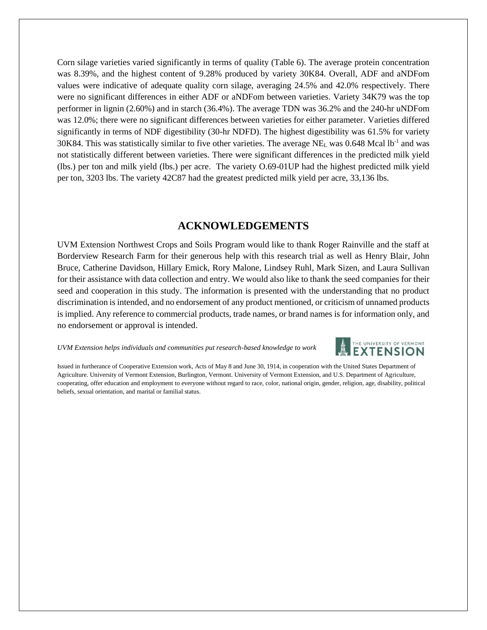Corn silage varieties varied significantly in terms of quality (Table 6). The average protein concentration was 8.39%, and the highest content of 9.28% produced by variety 30K84. Overall, ADF and aNDFom values were indicative of adequate quality corn silage, averaging 24.5% and 42.0% respectively. There were no significant differences in either ADF or aNDFom between varieties. Variety 34K79 was the top performer in lignin (2.60%) and in starch (36.4%). The average TDN was 36.2% and the 240-hr uNDFom was 12.0%; there were no significant differences between varieties for either parameter. Varieties differed significantly in terms of NDF digestibility (30-hr NDFD). The highest digestibility was 61.5% for variety 30K84. This was statistically similar to five other varieties. The average NE<sub>L</sub> was 0.648 Mcal lb<sup>-1</sup> and was not statistically different between varieties. There were significant differences in the predicted milk yield (lbs.) per ton and milk yield (lbs.) per acre. The variety O.69-01UP had the highest predicted milk yield per ton, 3203 lbs. The variety 42C87 had the greatest predicted milk yield per acre, 33,136 lbs.

## **ACKNOWLEDGEMENTS**

UVM Extension Northwest Crops and Soils Program would like to thank Roger Rainville and the staff at Borderview Research Farm for their generous help with this research trial as well as Henry Blair, John Bruce, Catherine Davidson, Hillary Emick, Rory Malone, Lindsey Ruhl, Mark Sizen, and Laura Sullivan for their assistance with data collection and entry. We would also like to thank the seed companies for their seed and cooperation in this study. The information is presented with the understanding that no product discrimination is intended, and no endorsement of any product mentioned, or criticism of unnamed products is implied. Any reference to commercial products, trade names, or brand names is for information only, and no endorsement or approval is intended.

*UVM Extension helps individuals and communities put research-based knowledge to work*



Issued in furtherance of Cooperative Extension work, Acts of May 8 and June 30, 1914, in cooperation with the United States Department of Agriculture. University of Vermont Extension, Burlington, Vermont. University of Vermont Extension, and U.S. Department of Agriculture, cooperating, offer education and employment to everyone without regard to race, color, national origin, gender, religion, age, disability, political beliefs, sexual orientation, and marital or familial status.